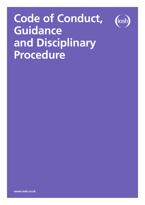# **Code of Conduct, Guidance and Disciplinary Procedure**



**www.iosh.co.uk**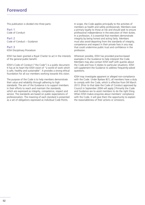This publication is divided into three parts:

Part 1 Code of Conduct

Part 2 Code of Conduct – Guidance

#### Part 3 IOSH Disciplinary Procedure

IOSH has been granted a Royal Charter to act in the interests of the general public benefit.

IOSH's Code of Conduct ("the Code") is a public document. It has at its heart the IOSH vision of "a world of work which is safe, healthy and sustainable". It provides a strong ethical foundation for all our members working towards this vision.

The purpose of the Code is to help members demonstrate their value and reliability through adhering to high standards. The aim of the Guidance is to support members in their efforts to reach and maintain the standards, which are expressed as integrity, competence, respect and service. The standards are based on public expectations of professionalism. The meaning of each standard is presented as a set of obligations expressed as individual Code Points.

In scope, the Code applies principally to the activities of members as health and safety professionals. Members owe a primary loyalty to those at risk and should seek to ensure professional independence in the execution of their duties. In a profession, it is essential that members demonstrate integrity by being honest and acting fairly. Members must also avoid departing from the standards of integrity, competence and respect in their private lives in any way that could undermine public trust and confidence in the profession.

Wherever possible, IOSH has provided practice-based examples in the Guidance to help interpret the Code. Members may also contact IOSH staff with queries about the Code and how it relates to particular situations. IOSH will supplement the Guidance to address frequently-asked questions.

IOSH may investigate apparent or alleged non-compliance with the Code. Under Byelaw 8(1), all members have a duty to comply with the Code, which is effective from 04 March 2013. [Prior to that date the Code of Conduct approved by Council in September 2004 will apply.] Primarily the Code and Guidance are to assist members to do the right thing. When IOSH makes enquiries about members' compliance with the Code, it will give them the opportunity to explain the reasonableness of their actions or omissions.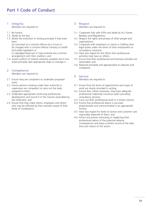# 1 Integrity

Members are required to:

- 1.1 Be honest;
- 1.2 Abide by the law;
- 1.3 Notify the Institution in writing promptly if they have been

(a) convicted of a criminal offence by a Court or (b) charged with a criminal offence contrary to health and safety legislation or

(c) adjudged bankrupt or have entered into a formal arrangement with their creditors; and

1.4 Avoid conflicts of interest wherever possible and if one arises promptly take appropriate steps to manage it.

# 2 Competence

Members are required to:

- 2.1 Ensure they are competent to undertake proposed work;
- 2.2 Ensure persons working under their authority or supervision are competent to carry out the tasks assigned to them;
- 2.3 Undertake appropriate continuing professional development and record it in the manner prescribed by the Institution; and
- 2.4 Ensure that they make clients, employers and others who may be affected by their activities aware of their levels of competence.

## 3 Respect

Members are required to:

- 3.1 Cooperate fully with IOSH and abide by its Charter, Byelaws and Regulations;
- 3.2 Respect the rights and privacy of other people and organisations;
- 3.3 Cooperate with employers or clients in fulfilling their legal duties under the terms of their employment or consultancy contracts;
- 3.4 Have due regard for the effect their professional activities may have on others;
- 3.5 Ensure that their professional and business activities are reasonable; and
- 3.6 Respond promptly and appropriately to disputes and complaints.

# 4 Service

Members are required to:

- 4.1 Ensure that the terms of appointment and scope of work are clearly recorded in writing;
- 4.2 Ensure that, where necessary, they have adequate professional indemnity insurance when providing consultancy services;
- 4.3 Carry out their professional work in a timely manner;
- 4.4 Ensure that professional advice is accurate, proportionate and communicated in an appropriate format;
- 4.5 Have due regard for levels of service and customer care reasonably expected of them; and
- 4.6 Inform any person overruling or neglecting their professional advice of the potential adverse consequences and keep a written record of the date, time and nature of this action.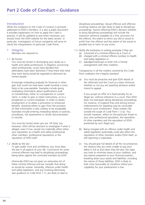### Introduction

While this Guidance on the Code of Conduct is primarily addressed to IOSH's members, it is also a public document. It provides explanation on how to apply the Code in practice. It will be updated as and when necessary; you should check the IOSH website for the latest version. In particular, investigation of future complaints will serve to clarify the interpretation of particular Code Points.

### 1 Integrity

Members are required to:

1.1 *Be honest*

You must be honest in discharging your duties as a health and safety professional. In litigation concerning other professionals, courts have decided that defendants have been dishonest if they knew that what they were doing would be regarded as dishonest by honest people.

Knowingly misleading anybody for financial or other gain that could not have been made honestly is most likely to be unacceptable. Examples include giving misleading information about qualifications and/ or memberships, either to a prospective or current client, in order to gain or retain instructions, or to a prospective or current employer, in order to obtain employment or to attain a promotion or enhanced benefits. Assisting others to gain from the provision of false information is also unlikely to be acceptable. Examples include entering misleading details on policies, procedures, risk assessments or similar documentation or records.

You must be honest when you are 'off duty' too. However, IOSH will be reluctant to investigate if what is alleged, even if true, would not materially affect either your reputation as a health and safety professional, other members' professional reputations or the reputation of IOSH itself.

1.2 *Abide by the law*

To gain public trust and confidence, you must obey the law in all aspects of your life. Convictions for some criminal offences may lead to disciplinary proceedings being taken against the convicted members by IOSH.

Historically IOSH has not given an exhaustive list of these criminal offences and we consider that doing so would be unwise. Generally, offences under health and safety legislation, and any involving dishonesty (see guidance to Code Point 1.1), are likely to lead to

disciplinary proceedings. Sexual offences and offences involving violence are also likely to lead to disciplinary proceedings. Factors affecting IOSH's decision whether to bring disciplinary proceedings will include the maximum sentence available on a first conviction for the offence, the extent to which you did or stood to profit from the offence and the extent of the actual or possible loss or harm to any victim.

- 1.3 *Notify the Institution in writing promptly if they are*
	- *(a) convicted of a criminal offence by a Court or*
	- *(b) charged with a criminal offence contrary to health and safety legislation or*
	- *(c) adjudged bankrupt or enter into a formal arrangement with their creditors.*

Transparency in all the matters covered by this Code Point underpins the integrity standard.

(a) You must be proactive and give IOSH details of the offence(s) and the Court as a bare minimum, whether or not you are awaiting sentence and/or intend to appeal.

If you accept an offer of a fixed penalty for an illegal act, without reference to a court, then IOSH does not anticipate taking disciplinary proceedings. For instance, in England fines and driving licence endorsements for speeding may be concluded without court involvement. These matters fall outside the scope of Code Point 1.3 (a). You should, however, reflect on the particular threat to your own professional reputation, the reputation of other members and the reputation of IOSH presented by such illegal acts.

- (b) Being charged with an offence under health and safety legislation potentially could also affect the reputation of other members and/or IOSH itself, so self-reporting is imperative.
- (c) You should give full details of all the circumstances: the reasons why you were unable to pay your debts in full as and when they fell due; the steps you took to minimise losses to your creditors; and any reports prepared on your financial position, breaking down your assets and liabilities, including the nature of those liabilities. IOSH is likely to look more favourably on situations where your culpability for your predicament is low.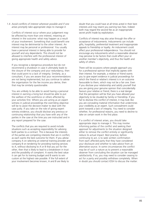#### 1.4 *Avoid conflicts of interest wherever possible and if one arises promptly take appropriate steps to manage it.*

Conflicts of interest occur where your judgement may be affected by more than one interest, meaning an interest in the outcome: what may happen as a result of your involvement. Something that could benefit one interest may be detrimental to the other interest. An interest may be personal or professional. You usually have a personal interest in being able to provide for yourself and any dependants. This should not be allowed to interfere with the professional interest of giving appropriate health and safety advice.

If you recognise a dangerous procedure but do not recommend a shutdown in case it ultimately leads to the closure of the company and your redundancy, then that could point to a lack of integrity. Similarly, as a consultant, if you are aware that your recommendations are not being implemented, but you continue to advise the organisation for the fee income you derive, then that may be similarly questionable.

You are unlikely to be able to avoid having a personal interest in earning a living but should be able to put the welfare of the workforce or others affected by your activities first. Where you are acting as an expert witness in judicial proceedings the overriding objective will be to assist the decision-maker to deal with the case justly. If you take on the role of giving expert witness evidence, you should disclose any previous or continuing relationship that you have with any of the parties in the case at the time you are instructed and in any report prepared for the case.

The conflicts that you are required to avoid include situations such as accepting responsibility for advising both parties to a contract. This is because the interests of the parties are competing interests that are in conflict, as each wants the best outcome for them. If you advise company A on selecting an external training provider and company B on tendering for providing training services to A, without disclosing to A or B that you act for the other, then that is likely to lead to a breakdown in trust and the possibility of complaint. A wants the best value it can get for its training budget and B wants to win custom at the highest rate possible. If the full extent of your involvement becomes known, A and B are likely to

doubt that you could have at all times acted in their best interests and may resent you earning two fees. Indeed both may regard the second fee as an inappropriate secret profit made by exploitation.

Conflicts of interest may also arise through the offer or acceptance of inducements. Inducements can include gifts, hospitality, preferential treatment and inappropriate appeals to friendship or loyalty. An inducement could affect your professional independence. You should not encourage any inducements which a reasonable observer may perceive to be factors that could affect your or another member's objectivity, and thus the health and safety of others.

There will be occasions where people approach you for a professional opinion that implicitly agrees with their interest. For example, a relative or friend wants you to give expert evidence in judicial proceedings for which the friend or relative's interest is in an outcome favourable to them, which may not be a fair one. Even if you disclose your relationship and satisfy yourself that you are giving your genuine opinion that coincidentally favours your relative or friend, there is a real danger that the perception will be that you have allowed your objectivity to be clouded by family or friendship. If you fail to disclose this conflict of interest, it may look like you are concealing material information that undermines your credibility as an expert. Such concealment could point towards a lack of integrity. You need to consider whether, for professional reasons, you need to decline to take on certain work in the first place.

If a conflict of interest arises, you should take appropriate steps to manage it. This may involve informing parties of the conflict and seeking their approval for adjustments to the situation designed either to remove the conflict entirely or significantly reduce its actual impact. Best practice, before continuing to act, is to seek written confirmation from each affected party that they have considered your disclosure and whether to take advice from an alternative source. In some circumstances the conflict may be of such a nature as to prevent a reasonable observer from concluding the situation can be managed satisfactorily. If so, you may need to consider ceasing to act for a party and possibly withdraw completely. When in doubt you should contact IOSH to discuss the matter.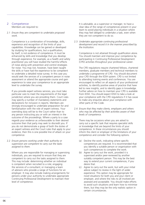### 2 Competence

Members are required to:

2.1 *Ensure they are competent to undertake proposed work.*

Competence is a combination of knowledge, skills, experience and recognition of the limits of your capabilities. Knowledge can be gained or developed by studying for qualifications, but a qualification, by itself, is not evidence of competence. It must be enhanced by skills and knowledge that you develop through experience. For example, as a health and safety practitioner you will have studied the harmful effects of noise along with prevention and control strategies for noise. You may not, however, have been taught the skills or have had the experience to be competent to undertake a detailed noise survey. In this case you would seek the services of a competent person in noise assessment or attend the appropriate course and gain experience to raise your competence to an appropriate level to undertake the survey.

If you provide expert witness services, you must take particular care to meet the requirements of the legal jurisdiction where you are providing them. Court rules may specify a number of mandatory statements and declarations for inclusion in reports. Members are strongly encouraged to undertake preparation for and familiarisation with the role of expert witness. Your overriding duty will be to the Court rather than to any person instructing you or with an interest in the outcome of the proceedings. Where a party to a case regards your evidence as unfavourable to their desired outcome then that party may seek to discredit you. If you do not demonstrate a grasp of both the duties of an expert witness and the Court rules that apply to your evidence, then this is one possible line of attack on your competence.

2.2 *Ensure persons working under their authority or supervision are competent to carry out the tasks assigned to them.*

Where you are responsible for managing or supervising individuals, you are required to ensure that they are competent to carry out the tasks assigned to them. This may include: determining whether an individual is competent when recruited to a role; engaging the services of a consultant; or managing a team of advisors who provide a range of functions for an employer. It may also include making arrangements for persons under your authority to undertake appropriate Continuing Professional Development to maintain their level of competence.

It is advisable, as a supervisor or manager, to have a clear idea of the range of competences present in your team to avoid placing individuals in a situation where they may feel obliged to undertake a task, even when they are not competent to do so.

2.3 *Undertake appropriate continuing professional development and record it in the manner prescribed by the Institution.*

Competence is not attained through qualification alone. You should maintain and improve your competence by participating in Continuing Professional Development (CPD) activities throughout your professional career.

The CPD regulations require chartered fellows, chartered members, graduate members and technical members to undertake a programme of CPD. You should document your CPD through the IOSH system. CPD is not limited to attending training events and conferences. You are encouraged to reflect on all aspects of your professional activities, to identify positive areas of practice that have led to new insights, and to identify gaps in knowledge. Further advice on how to maintain your CPD is available from IOSH. You should expect IOSH to take a look at your compliance with the CPD regulations if it has cause to make any enquiries about your compliance with other parts of the Code.

2.4 *Ensure that they make clients, employers and others who may be affected by their activities aware of their levels of competence.*

There may be occasions when you are asked to carry out a specific task that requires specialist skills or knowledge that are beyond the limits of your competence. In these circumstances you should inform the client or employer of the limitations of your competence and consider the following options.

- (a) Decline the work, indicating where specific competences are required. It is recommended that you identify a suitable person or organisation with such competences to complete the work.
- (b) Agree to carry out the work, provided it is supervised and/or peer-reviewed by another suitably competent person. This may be the best way to extend your current competences, if you desire that.
- (c) Agree to carry out the work, but with your initial advice subject to review in the light of wider experience. This option may be appropriate for novel situations for both you and your client or employer, and where the risks to all involved are assessed and acceptable. You should make efforts to avoid such situations and learn how to minimise them, but they may be the only realistic option in certain circumstances.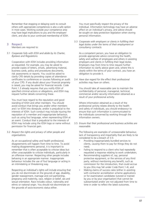Remember that stopping or delaying work to consult others with appropriate competences is also a safe option in most cases. Working outside your competence area may have legal implications to you and the employer/ client, and also to your continued membership of IOSH.

### 3 Respect

Members are required to:

3.1 *Cooperate fully with IOSH and abide by its Charter, Byelaws and Regulations.*

Cooperation with IOSH includes providing information as requested. For example, you may be asked to provide copies of letters, emails, advertising material, business cards, policy and procedures documents, risk assessments or reports. You could be asked to clarify CPD details by providing copies of attendance certificates to conferences or courses following an audit of your CPD. If any doubt about your financial propriety is raised, you may be asked for financial records. Code Point 1.3 already requires that you notify IOSH of specified criminal actions or allegations, and IOSH may request further details concerning these.

You must have regard to the reputation and good standing of IOSH and other members. You should avoid conduct that brings you and/or other members and / or IOSH into disrepute; and/or is prejudicial to the interests of IOSH. Such conduct may include injuring the reputation of a member and inappropriate behaviour, such as using foul language, when representing IOSH at an event. Conduct that is prejudicial to the interests of IOSH may include using the IOSH logo or name without permission for financial gain.

3.2 *Respect the rights and privacy of other people and organisations.*

As an occupational safety and health professional, disagreements will happen from time to time. To avoid making disagreements personal, it is important to remember that is often acceptable to criticise ideas but often unacceptable to criticise individuals, particularly in an offensive manner. Respecting other people includes behaving in an appropriate manner. Inappropriate behaviour includes the use of foul language or acting in an intimidating or threatening way.

Respecting an individual's rights will include ensuring that you do not discriminate on the grounds of age, disability, gender reassignment, marriage and civil partnership, pregnancy and maternity, race, religion or belief, sex and sexual orientation. Race includes colour, nationality and ethnic or national origin. You should not discriminate on the grounds of socio-economic status either.

You must specifically respect the privacy of the individual. Information technology may have an adverse affect on an individual's privacy, and advice should be sought on data protection legislation when storing personal information.

3.3 *Cooperate with employers or clients in fulfilling their legal duties under the terms of their employment or consultancy contracts.*

As a competent person, you have an obligation to provide appropriate advice concerning the health, safety and welfare of employees and others in assisting employers and clients in fulfilling their legal duties. Employers may from time to time request further information to clarify advice given and, where this is clearly within the terms of your contract, you have an obligation to provide it.

3.4 *Have due regard for the effect their professional activities may have on others.*

You should take all reasonable care to maintain the confidentiality of personal, managerial, technical, commercial and/or security information obtained as a result of your professional activity.

Where information obtained as a result of the professional activity relates directly to the health and safety of individuals, you should endeavour to ensure that such information is communicated to the individuals concerned by working through the information owners.

3.5 *Ensure that their professional and business activities are reasonable.*

The following are examples of unreasonable behaviour, lack of transparency and impartiality that are likely to be considered to be a breach of 3.5:

- Providing inappropriately bundled services to clients, causing them to pay for things they do not need;
- Failing to respond to a client who had repeatedly requested a response relating to work undertaken;
- Recommending suppliers of, say, personal protective equipment, or the services of any third party, without mentioning any benefit, such as commission for the introduction, that could accrue to you (this may fall under Code Point 1.4); and
- Making claims of success rates (either in assisting with contractor accreditation scheme applications or for examination candidates tutored or trained by you or by your organisation) that cannot be substantiated and/or are not adjusted from time to time in order to reflect the latest outcomes.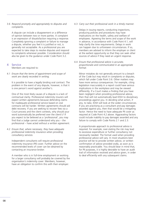3.6 *Respond promptly and appropriately to disputes and complaints.*

A dispute can include a disagreement or a difference of opinion between two or more parties. A complaint is an expression of dissatisfaction requiring a response. Completely ignoring a complaint or failure to manage a dispute, whether you feel it is justified or not, is generally not acceptable. As a professional you are expected to take steps to resolve disputes and respond to complaints whenever possible. Consideration should also be given to the guidance under Code Point 3.2.

### 4 Service

Members are required to:

4.1 *Ensure that the terms of appointment and scope of work are clearly recorded in writing.*

It is possible to have a legally binding oral contract. The problem in the event of any dispute, however, is that it is one person's word against another's.

One of the most likely causes of a dispute is a lack of contractual clarity. Professional indemnity insurers will expect written agreements because defending claims for inadequate professional service based on oral contracts will be harder. Written agreements should aid debt recovery. If you are seeking to recover fees via a Court process and the client contests, why should your word automatically be preferred over the client's? If you expect to be believed as a 'professional', you may find that a Judge cannot understand why you – the professional – have acted without a written agreement.

4.2 *Ensure that, where necessary, they have adequate professional indemnity insurance when providing consultancy services.*

Independent consultants will require professional indemnity insurance (PII) cover. Further advice on the recommended levels of cover can be obtained by contacting an insurance broker.

A member who is in full-time employment or working for a larger consultancy will probably be covered by the organisation's indemnity cover. Members, however, have an obligation to confirm this with their employer.

4.3 *Carry out their professional work in a timely manner.*

Delays in issuing reports, conducting inspections, producing policies and procedures may have implications on the health, safety and welfare of employees. Agreeing the terms and scope of the work in advance, in accordance with Code Point 4.1, will help clarify the time requirements. Delays in work can happen due to unforeseen circumstances. If so, members are advised to inform the employer or client at the earliest opportunity so that they can seek other sources of advice if they need an urgent response.

4.4 *Ensure that professional advice is accurate, proportionate and communicated in an appropriate format.*

Minor mistakes do not generally amount to a breach of the Code but may result in complaints or disputes, which fall under Code Point 3.6. Other matters may have more serious consequences. For example, citing legislation inaccurately in a report could have serious implications in the workplace and may be viewed differently. If a Court makes a finding that you have been negligent when providing professional advice, then that will not automatically lead IOSH to disciplinary proceedings against you. In deciding what action, if any, to take, IOSH will look at the wider circumstances. If you are practising as a consultant and pay damages awarded against you, then that would be a mitigating factor. Hence the need to have adequate PII cover as required at Code Point 4.2 above. Aggravating factors could include inability to pay damages awarded and any failure to comply with Code Points 2.1 and 2.3.

A proportionate approach to professional advice is required. For example, over-stating the risk may lead to excessive expenditure or further consultancy not necessarily needed. The format used when providing professional advice will vary. In most situations best practice will be to provide written advice, or written confirmation of advice provided orally, as soon as is reasonably practicable. You should bear in mind that, for PII purposes, it is highly desirable to have an audit trail of information received and advice given, in order to deal efficiently with any subsequent claims.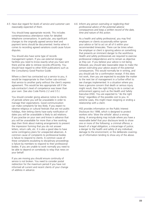4.5 *Have due regard for levels of service and customer care reasonably expected of them.*

You should keep appropriate records. This includes contemporaneous attendance notes for detailed telephone conversations. In particular, any significant changes to the originally agreed service level and payment terms should be documented. Inertia when it comes to recording agreed variations could cause future disputes.

You should also have some type of records management system. If you use external storage facilities you need to know exactly what you have sent there and be able to retrieve records efficiently. You should have regard to other IOSH publications such as the Consultancy Good Practice Guide.

Where a client has contracted out a service to you, it would be inappropriate to then further sub-contract that service to another party without the client's express agreement. This would be less appropriate still if the sub-contractor's level of competence was lower than your own. (See also Code Points 2.2 and 3.5.)

You should consider giving advance notice to clients of periods where you will be unavailable in order to manage their expectations. Good communication can make complaints far less likely. If you expect to observe religious or cultural festivals that are not public holidays, then letting clients have early notification of dates you will be unavailable is likely to aid relations. If you practise on your own and know in advance that you will be unavailable for more than a few working days then think about making arrangements to prevent the impression forming that you do not answer letters, return calls, etc. It is also a good idea to have some contingency plans for unexpected absences. A common cause of complaints to professional bodies is failure to respond to clients. A common cause of these complaints escalating to disciplinary proceedings is failure by members to respond to their professional bodies. If you are unable to work normally you need to be able to depend on somebody to relay that news on your behalf.

If you are moving you should ensure continuity of service is not broken. You need to consider postal redirection for the maximum period if you have not informed all current and recent clients of your change of address in advance.

4.6 *Inform any person overruling or neglecting their professional advice of the potential adverse consequences and keep a written record of the date, time and nature of this action.*

As a health and safety professional, you may find employers or clients occasionally either ignore your advice or fail to act on all of it within your recommended timescales. There can be times when the employer or client is ignoring advice on something that presents an imminent danger to the workforce. Health and safety professionals are required to exercise professional independence and to remain as objective as they can. If you believe your advice is not being followed, you should take reasonable steps to make the person overruling your advice aware of the potential consequences. This would normally be in writing, and you should ask for a confirmation receipt. If this does not work, then you are expected to escalate the matter to the next tier of management in a further effort to see changes implemented. In a situation where you have a genuine concern that death or serious injury might result, then the right thing to do is contact an enforcement agency such as the Health and Safety Executive (HSE). You are expected to "do the right thing" regardless of the possible cost to you. In extreme cases, this might mean resigning or ending a relationship with a client.

HSE provides information on the Public Interest Disclosure Act 1998, which is designed to protect workers who 'blow the whistle' about a wrongdoing. A wrong-doing may include where you have a reasonable belief that your disclosure tends to show one or more of the following: a criminal offence; a breach of a legal obligation; a miscarriage of justice; a danger to the health and safety of any individual; damage to the environment; or the deliberate coveringup of information tending to show any of the above.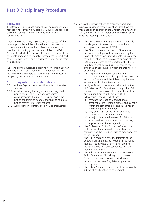### Foreword

The Board of Trustees has made these Regulations that are required under Byelaw 8 'Discipline'. Council has approved these Regulations. This version came into force on 01 February 2017.

Under its Royal Charter, IOSH acts in the interests of the general public benefit by doing what may be necessary to maintain and improve the professional status of its members. Accordingly members must follow the IOSH Code of Conduct, the purpose of which is to enable them to uphold standards of integrity, competence, respect and service so that there is public trust and confidence in them and IOSH itself.

IOSH will provide guidance explaining how complaints may be made against IOSH members. It is important that the facility to complain exists but complaints will only lead to disciplinary proceedings in serious cases.

### 1 Interpretation and definitions

- 1.1 In these Regulations, unless the context otherwise requires:
- 1.1.1 Words importing the singular number only shall include the plural number and vice-versa;
- 1.1.2 Words importing the masculine gender only shall include the feminine gender, and shall be taken to include reference to organisations;
- 1.1.3 Words denoting persons shall include organisations.
- 1.2 Unless the context otherwise requires, words and expressions used in these Regulations shall have the meanings given to them in the Charter and Byelaws of IOSH, and the following words and expressions shall have the meanings set out below:
	- 'the Complainant' means the person who made the allegation of misconduct and may be an employee or appointee of IOSH;
	- 'the Director' means the Head of Governance or another employee of IOSH authorised by the Board of Trustees who may delegate his role under these Regulations to an employee or appointee of IOSH, so references to the Director within these Regulations shall be read as references to the employee or appointee to whom the Director has delegated;
	- 'Hearing' means a meeting of either the Disciplinary Committee or the Appeal Committee at which the Director and the Subject may be heard as prescribed by these Regulations;
	- 'a Higher Penalty' means removal from the Board of Trustees and/or Council and/or any other IOSH committee or suspension of membership of IOSH or expulsion from membership of IOSH;
	- 'Misconduct' means conduct that
		- (i) breaches the Code of Conduct and/or
		- (ii) amounts to unacceptable professional conduct within the standards expected in the health and safety profession and/or
		- (iii) may bring IOSH or the health and safety profession into disrepute and/or
		- (iv) is prejudicial to the interests of IOSH and/or
		- (v) is in breach of a decision made, or penalty imposed under these Regulations;
	- 'the Professional Ethics Committee' means the Professional Ethics Committee or such other committee as the Board of Trustees may from time to time authorise;
	- 'the Public Interest' means the interests of the general public benefit and 'what is in the Public Interest' means what is necessary in order to maintain public trust and confidence in IOSH members and IOSH;
	- 'the Relevant Committee' means the Professional Ethics Committee, Disciplinary Committee or Appeal Committee all of which shall make decisions under these Regulations by simple majority; and
	- 'the Subject': means a member of IOSH who is the subject of an allegation of misconduct.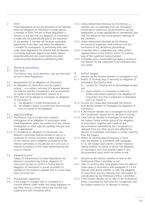### 2 Aim

These Regulations set out the procedure to be followed where an allegation of misconduct is made against a member of IOSH. The aim of these Regulations is fairness, so the fact that any allegation of misconduct is made will not automatically lead to the imposition of any penalty. A member will be given reasonable opportunity to put their case where the allegation is suitable for investigation. In performing their roles under these Regulations the Director and the Relevant Committee shall have regard to the Public Interest, proportionality and any current policy document concerning these Regulations published by IOSH.

# 3 General provisions<br>3.1 Time limits

3.1 *Time limits*

The Director may, at his discretion, vary any time limit set out in these Regulations.

- 3.2 *Requirements for an allegation of misconduct*
- 3.2.1 An allegation of misconduct must be made in writing, or a written summary of it agreed between the Director and the Complainant, and accompanied by copies of any documentation relevant to it.
- 3.2.2 IOSH shall not be obliged to investigate an allegation of misconduct if
	- (i) the allegation is made anonymously; or
	- (ii) the alleged incident occurred more than one year prior to receipt of the allegation.
- 3.3 *Legal proceedings*
- 3.3.1 The Director may at his discretion suspend investigation of an allegation of misconduct under these Regulations where the existence of any criminal investigation or other legal proceedings indicates that this is appropriate.
- 3.3.2 In considering an allegation of misconduct, the Relevant Committee shall be entitled to rely on a certificate of criminal conviction and/or transcript of the criminal court's judgment as evidence of the offence committed, or the decision of a civil court or tribunal as evidence of the issues determined by that court or tribunal.
- 3.4 *Standard of proof*

Subject to the provisions of these Regulations the Relevant Committee may find an allegation of misconduct proven or confirm a finding that an allegation of misconduct is proven provided it is satisfied on the evidence available that it is more likely than not to be true.

- 3.5 *Precautionary suspension*
- 3.5.1 If the Subject is charged with or convicted of a criminal offence under health and safety legislation or any other serious criminal offence the Director may suspend him with immediate effect.
- 3.5.2 Unless determined otherwise by the Director, a member who is suspended shall not, throughout the period of suspension, be permitted to use any designation or initials appropriate to membership, and may not attend or vote at any general meetings of the members.
- 3.5.3 Unless determined otherwise by the Director, the period of suspension shall continue until the conclusion of any disciplinary proceedings.
- 3.5.4 A member who is suspended may make written representations to the Director within 10 working days of the suspension being imposed.
- 3.5.5 A member who is suspended may apply in writing to the Director for the suspension to be reviewed every four weeks.

### 4 Initial stages

- 4.1 *Decision by the Director whether to investigate or not*
- 4.1.1 Within 15 working days of receiving an allegation of misconduct the Director shall:
	- (i) contact the Complainant to acknowledge receipt; and
		- (ii) assess whether it is necessary to seek any further information relating to the allegation of misconduct from the Complainant or elsewhere and if so request it.
- 4.1.2 As soon as is reasonably practicable the Director shall decide whether to investigate the allegation of misconduct.
- 4.1.3 If the Director decides not to investigate he shall send the Complainant reasons for his decision in writing.
- 4.1.4 If the Director decides to investigate he shall send the Subject formal written notice of the allegation of misconduct, together with copies of any documentation submitted by the Complainant or obtained from any other source that affected his decision to investigate, and require a written response from the Subject.
- 4.1.5 Within 20 working days of receiving a notice from the Director in accordance with paragraph 4.1.4, the Subject shall submit a written response stating whether he admits or denies the allegation of misconduct, and must provide copies of any documentation upon which he wishes to rely.
- 4.2 *Decision by the Director whether to refer to the Professional Ethics Committee or not*
- 4.2.1 After 22 working days have elapsed from the date of notice given in accordance with paragraph 4.1.4 the Director shall decide whether to refer the allegation of misconduct and any response from the Subject for consideration by the Professional Ethics Committee.
- 4.2.2 If the Director decides not to refer to the Professional Ethics Committee he shall send the Complainant and the Subject reasons for his decision in writing.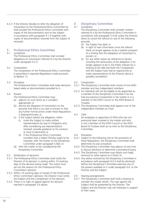4.2.3 If the Director decides to refer the allegation of misconduct to the Professional Ethics Committee he shall provide the Professional Ethics Committee with copies of the documentation sent to the Subject in accordance with paragraph 4.1.4 together with copies of documentation received from the Subject (if received).

# 5 Professional Ethics Committee<br>5.1 Jurisdiction

5.1 *Jurisdiction*

The Professional Ethics Committee shall consider allegations of misconduct referred to it by the Director under paragraph 4.2.3.

5.2 *Composition*

The composition of the Professional Ethics Committee is prescribed in separate Regulations made pursuant to Byelaw 13.

5.3 *Procedure*

The Professional Ethics Committee shall make decisions based solely on documentation provided to it.

- 5.4 *Powers*
	- The Professional Ethics Committee may:
	- (a) adjourn on such terms as it considers appropriate; or
	- (b) dismiss the allegation of misconduct on the grounds that there is no case to answer or that any further formal action under these Regulations is disproportionate; or
	- (c) if the Subject admits the allegation, either
		- (i) invite the Subject to make written representations by way of mitigation and, after considering any representations received, provide guidance on his conduct, or issue a reprimand; or
		- (ii) if the Professional Ethics Committee considers that a Higher Penalty ought to be imposed, refer the matter to the Disciplinary Committee under paragraph 5.4(d); or
	- (d) refer the matter to be considered by the Disciplinary Committee.
- 5.5 *Notification of decisions*
- 5.5.1 The Professional Ethics Committee shall notify the Director of its decision in writing within 10 working days of the decision being made. The notice must set out the reasons for the Professional Ethics Committee's decision.
- 5.5.2 Within 10 working days of receipt of the Professional Ethics Committee's decision, the Director must notify the Subject and the Complainant of the decision.
- 5.5.3 There is no right of appeal against the decision reached in paragraph 5.4 above.

# 6 Disciplinary Committee

# 6.1 *Jurisdiction*

The Disciplinary Committee shall consider matters referred to it by the Professional Ethics Committee in accordance with paragraph 5.4 (d) unless the Director elects to cancel the referral on any of the following grounds:

- (a) the Subject has died; or
- (b) in light of new information since the referral there no longer appears to be a realistic prospect of a finding that the allegation of misconduct is proven; or
- (c) for any other reason by reference to factors including the seriousness of the allegation it no longer appears to be in the Public Interest for a hearing to be held and both the Complainant and the Subject have had an opportunity to make representations to the Director about a possible cancellation.
- 6.2 *Composition*
- 6.2.1 The Disciplinary Committee shall consist of one IOSH member and two independent members.
- 6.2.2 An individual will not be eligible to be appointed as a member of the Disciplinary Committee if he has had any previous involvement in the matter or is a member of the IOSH Council or the IOSH Board of Trustees.
- 6.2.3 The Disciplinary Committee shall appoint one of the independent members as Chair.
- 6.3 *Clerk*

An employee or appointee of IOSH who has not previously been involved in the matter and who is not a member of the IOSH Council or the IOSH Board of Trustees shall act as clerk to the Disciplinary Committee.

- 6.4 *Procedure*
- 6.4.1 Subject to the following and to the provisions of these Regulations, the Disciplinary Committee shall determine its own procedure.
- 6.4.2 The Disciplinary Committee may adjourn at any time to discuss decisions or determine a procedural query.
- 6.4.3 The Disciplinary Committee may obtain such legal, technical or other advice as it thinks fit.
- 6.4.4 Any advice received by the Disciplinary Committee in accordance with paragraph 6.4.3 shall be disclosed, before the Disciplinary Committee exercises any of the powers available to it under paragraph 6.6, to the Director and the Subject.
- 6.5 *Hearing arrangements*
- 6.5.1 The Disciplinary Committee shall hold a hearing to consider the matter afresh. The case against the Subject shall be presented by the Director. The Subject and the Director may call witnesses in support of their cases.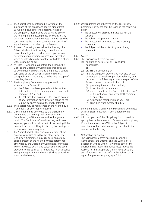- 6.5.2 The Subject shall be informed in writing of the substance of the allegations against him at least 30 working days before the hearing. Notice of the allegations must include the date and time of the hearing and be accompanied by copies of any documentation (including witness statements) to be considered at the hearing, together with details of any witnesses to be called by the Director.
- 6.5.3 At least 15 working days before the hearing, the Subject shall confirm in writing if he admits or denies the allegations, and provide copies of any documentation (including witness statements) on which he intends to rely, together with details of any witnesses to be called.
- 6.5.4 At least 10 working days before the hearing, the Clerk to the Disciplinary Committee shall circulate to Committee members and to the parties a bundle consisting of the documentation referred to at paragraphs 6.5.2 and 6.5.3, together with a copy of these Regulations.
- 6.5.5 The Disciplinary Committee may proceed in the absence of the Subject if:
	- (a) the Subject has been properly notified of the date and time of the hearing in accordance with paragraph 6.5.2; and
	- (b) it is satisfied that doing so is fair, taking account of any information given by or on behalf of the Subject balanced against the Public Interest.
- 6.5.6 The Subject may be represented at the hearing by a friend, legal or other representative.
- 6.5.7 Unless determined otherwise by the Disciplinary Committee, the hearing shall be open to the Complainant, IOSH members and to the general public. The Disciplinary Committee may exclude or expel any person from all or part of the hearing if that person disrupts, or is likely to disrupt, the hearing, or if fairness otherwise requires.
- 6.5.8 The Subject and the Director may question, at the hearing, witnesses called by the other party. The Disciplinary Committee may ask questions of any person present at the hearing. Unless determined otherwise by the Disciplinary Committee, only those witnesses whose details and statements have been provided to the other party in advance (in accordance with paragraphs 6.5.2 and 6.5.3) shall be entitled to speak at the hearing.
- 6.5.9 Unless determined otherwise by the Disciplinary Committee, evidence shall be taken in the following order:
	- the Director will present the case against the Subject;
	- the Subject will present his case;
	- the Director will be invited to give a closing statement;
	- the Subject will be invited to give a closing statement.
- 6.6 *Powers*
- 6.6.1 The Disciplinary Committee may:
	- (a) adjourn on such terms as it considers appropriate; or
	- (b) dismiss the allegation; or
	- (c) find the allegation proven, and may also by way of imposing a penalty or penalties take any one or more of the following actions in respect of the Subject, on such terms as it thinks fit:
		- (i) provide guidance on his conduct;
		- (ii) issue him with a reprimand;
		- (iii) remove him from the Board of Trustees and/ or Council and/or any other IOSH committee as applicable;
		- (iv) suspend his membership of IOSH; or;
		- (v) expel him from membership IOSH.
- 6.6.2 Before imposing a penalty the Disciplinary Committee shall consider mitigation, if any, offered by the Subject.
- 6.6.3 If in the opinion of the Disciplinary Committee it is appropriate in the interests of fairness, the Disciplinary Committee may order IOSH or the Subject to contribute to the costs incurred by the other in the conduct of the hearing.

### 6.7 *Notification of decisions*

The Disciplinary Committee shall inform the Complainant, the Director and the Subject of its decision in writing within 10 working days of the decision being made. The notice must set out the reasons for the Disciplinary Committee's decision, and, if appropriate, must inform the Subject of his right of appeal under paragraph 7.1.1.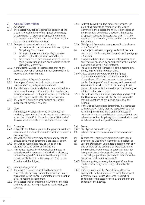# 7 Appeal Committee

### 7.1 *Jurisdiction*

- 7.1.1 The Subject may appeal against the decision of the Disciplinary Committee to the Appeal Committee, by submitting full grounds of appeal in writing to the Director within 10 working days of receiving the Disciplinary Committee's decision.
- 7.1.2 Examples of grounds of appeal include:
	- (a) serious errors in the procedures followed by the Disciplinary Committee;
	- (b) the imposition of an unreasonably excessive sanction by the Disciplinary Committee; or
	- (c) the emergence of new material evidence, which could not reasonably have been submitted to the Disciplinary Committee.
- 7.1.3 If the Director wishes to submit a response to the Subject's grounds of appeal, he shall do so within 10 working days of receiving it.
- 7.2 *Composition of Appeal Committee*
- 7.2.1 The Appeal Committee shall consist of one IOSH member and two independent members.
- 7.2.2 An individual will not be eligible to be appointed as a member of the Appeal Committee if he has had any previous involvement in the matter or is a member of the IOSH Council or the IOSH Board of Trustees.
- 7.2.3 The Appeal Committee shall appoint one of the independent members as Chair.

### 7.3 *Clerk*

An employee or appointee of IOSH who has not previously been involved in the matter and who is not a member of the IOSH Council or the IOSH Board of Trustees shall act as clerk to the Appeal Committee.

### 7.4 *Procedure*

- 7.4.1 Subject to the following and to the provisions of these Regulations, the Appeal Committee shall determine its own procedure.
- 7.4.2 The Appeal Committee may adjourn at any time to discuss decisions or determine a procedural query.
- 7.4.3 The Appeal Committee may obtain such legal. technical or other advice as it thinks fit.
- 7.4.4 Any advice received by the Appeal Committee in accordance with paragraph 7.4.3 shall be disclosed, before the Appeal Committee exercises any of the powers available to it under paragraph 7.6, to the Director and the Subject.
- 7.5 *Hearing arrangements*
- 7.5.1 The Appeal Committee shall hold a hearing to review the Disciplinary Committee's decision unless, exceptionally, the Appeal Committee determines that a full re-hearing is appropriate.
- 7.5.2 The Subject shall be informed in writing of the date and time of the hearing at least 30 working days in advance.
- 7.5.3 At least 10 working days before the hearing, the Clerk shall circulate to members of the Appeal Committee, the Subject and the Director copies of the Diciplinary Committee's decision, the grounds of appeal submitted in accordance with 7.1.1, the response of the Director, if any, and a copy of these Regulations.
- 7.5.4 The Appeal Committee may proceed in the absence of the Subject if:
- (a) the Subject has been properly notified of the date and time of the hearing in accordance with paragraph 7.5.2; and
- (b) it is satisfied that doing so is fair, taking account of any information given by or on behalf of the Subject balanced against the Public Interest.
- 7.5.5 The Subject may be represented at the hearing by a friend, legal or other representative.
- 7.5.6 Unless determined otherwise by the Appeal Committee, the hearing shall be open to the Complainant, IOSH members and to the general public. The Appeal Committee may exclude or expel any person from all or part of the hearing if that person disrupts, or is likely to disrupt, the hearing, or if fairness otherwise requires.
- 7.5.7 The Subject may present his grounds of appeal and the Director may respond. The Appeal Committee may ask questions of any person present at the hearing.
- 7.5.8 If the Appeal Committee determines, in accordance with paragraph 7.5.1, that the appeal will be a full re-hearing, the re-hearing shall be conducted in accordance with the provisions of paragraph 6.5, and references to the Disciplinary Committee shall be read as references to the Appeal Committee.

### 7.6 *Powers*

- 7.6.1 The Appeal Committee may:
- (a) adjourn on such terms as it considers appropriate; or
- (b) confirm the Disciplinary Committee's decision; or
- (c) overturn the Disciplinary Committee's decision; or
- (d) vary the Disciplinary Committee's decision with any one or more of the actions that were available to the Disciplinary Committee in paragraph 6.6.1 (c) being available to the Appeal Committee by way of imposing a penalty or penalties in relation to the Subject on such terms as it sees fit.
- 7.6.2 Before imposing a penalty the Appeal Committee shall consider mitigation, if any, offered by the Subject.
- 7.6.3 If in the opinion of the Appeal Committee it is appropriate in the interests of fairness, the Appeal Committee may, order IOSH or the Subject to contribute to the costs incurred by the other in the conduct of the hearing.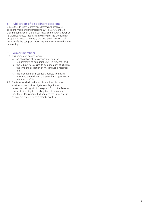# 8 Publication of disciplinary decisions

Unless the Relevant Committee determines otherwise, decisions made under paragraphs 5.4 (c) (i), 6.6 and 7.6 shall be published in the official magazine of IOSH and/or on its website. Unless requested in writing by the Complainant or by the witness concerned, the published decision shall not identify the complainant or any witnesses involved in the proceedings.

## 9 Former members

9.1 This paragraph applies where:

- (a) an allegation of misconduct meeting the requirements of paragraph 3.2.1 is required; and
- (b) the Subject has ceased to be a member of IOSH by the time the allegation of misconduct is received; and
- (c) the allegation of misconduct relates to matters which occurred during the time the Subject was a member of IOSH.
- 9.2 The Director shall decide at his absolute discretion whether or not to investigate an allegation of misconduct falling within paragraph 9.1. If the Director decides to investigate the allegation of misconduct, then these Regulations shall apply to the Subject as if he had not ceased to be a member of IOSH.